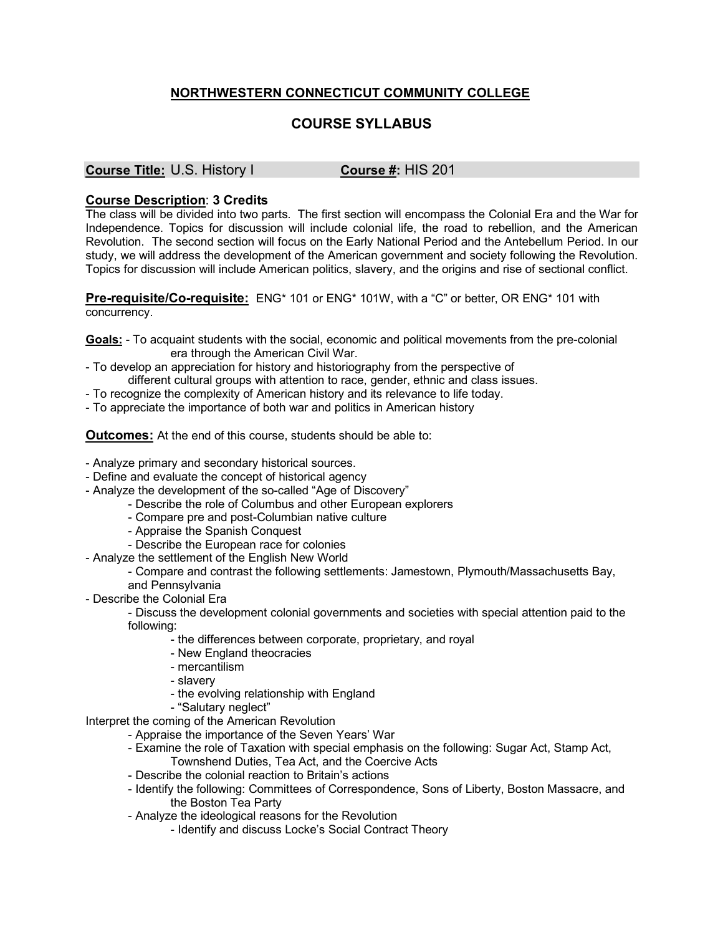## **NORTHWESTERN CONNECTICUT COMMUNITY COLLEGE**

## **COURSE SYLLABUS**

## **Course Title:** U.S. History I **Course #:** HIS 201

## **Course Description**: **3 Credits**

The class will be divided into two parts. The first section will encompass the Colonial Era and the War for Independence. Topics for discussion will include colonial life, the road to rebellion, and the American Revolution. The second section will focus on the Early National Period and the Antebellum Period. In our study, we will address the development of the American government and society following the Revolution. Topics for discussion will include American politics, slavery, and the origins and rise of sectional conflict.

**Pre-requisite/Co-requisite:** ENG\* 101 or ENG\* 101W, with a "C" or better, OR ENG\* 101 with concurrency.

**Goals:** - To acquaint students with the social, economic and political movements from the pre-colonial era through the American Civil War.

- To develop an appreciation for history and historiography from the perspective of different cultural groups with attention to race, gender, ethnic and class issues.
- To recognize the complexity of American history and its relevance to life today.
- To appreciate the importance of both war and politics in American history

**Outcomes:** At the end of this course, students should be able to:

- Analyze primary and secondary historical sources.
- Define and evaluate the concept of historical agency
- Analyze the development of the so-called "Age of Discovery"
	- Describe the role of Columbus and other European explorers
	- Compare pre and post-Columbian native culture
	- Appraise the Spanish Conquest
	- Describe the European race for colonies
- Analyze the settlement of the English New World
	- Compare and contrast the following settlements: Jamestown, Plymouth/Massachusetts Bay,
	- and Pennsylvania
- Describe the Colonial Era

- Discuss the development colonial governments and societies with special attention paid to the following:

- the differences between corporate, proprietary, and royal
- New England theocracies
- mercantilism
- slavery
- the evolving relationship with England
- "Salutary neglect"

Interpret the coming of the American Revolution

- Appraise the importance of the Seven Years' War
- Examine the role of Taxation with special emphasis on the following: Sugar Act, Stamp Act, Townshend Duties, Tea Act, and the Coercive Acts
- Describe the colonial reaction to Britain's actions
- Identify the following: Committees of Correspondence, Sons of Liberty, Boston Massacre, and the Boston Tea Party
- Analyze the ideological reasons for the Revolution
	- Identify and discuss Locke's Social Contract Theory